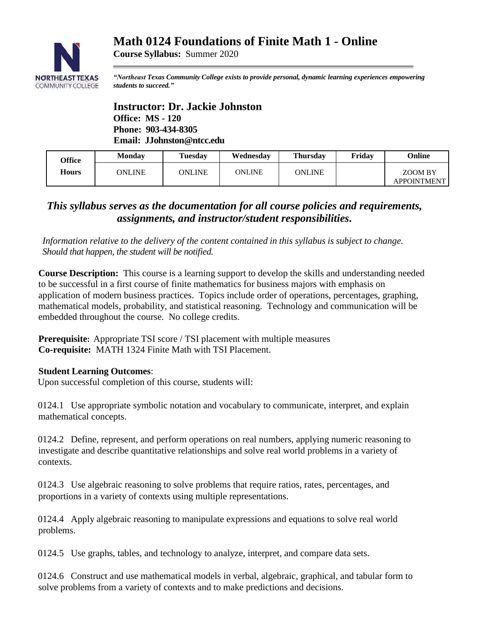# **Math 0124 Foundations of Finite Math 1 - Online**



**Course Syllabus:** Summer 2020

*"Northeast Texas Community College exists to provide personal, dynamic learning experiences empowering students to succeed."*

**Instructor: Dr. Jackie Johnston Office: MS - 120 Phone: 903-434-8305 Email: JJohnston@ntcc.edu**

| Office<br><b>Hours</b> | <b>Monday</b> | <b>Tuesday</b> | Wednesdav     | <b>Thursday</b> | Friday | Online                        |
|------------------------|---------------|----------------|---------------|-----------------|--------|-------------------------------|
|                        | ONLINE        | ONLINE         | <b>ONLINE</b> | ONLINE          |        | ZOOM BY<br><b>APPOINTMENT</b> |

## *This syllabus serves as the documentation for all course policies and requirements, assignments, and instructor/student responsibilities.*

*Information relative to the delivery of the content contained in this syllabus is subject to change. Should that happen, the student will be notified.*

**Course Description:** This course is a learning support to develop the skills and understanding needed to be successful in a first course of finite mathematics for business majors with emphasis on application of modern business practices. Topics include order of operations, percentages, graphing, mathematical models, probability, and statistical reasoning. Technology and communication will be embedded throughout the course. No college credits.

**Prerequisite:** Appropriate TSI score / TSI placement with multiple measures **Co-requisite:** MATH 1324 Finite Math with TSI Placement.

## **Student Learning Outcomes**:

Upon successful completion of this course, students will:

0124.1 Use appropriate symbolic notation and vocabulary to communicate, interpret, and explain mathematical concepts.

0124.2 Define, represent, and perform operations on real numbers, applying numeric reasoning to investigate and describe quantitative relationships and solve real world problems in a variety of contexts.

0124.3 Use algebraic reasoning to solve problems that require ratios, rates, percentages, and proportions in a variety of contexts using multiple representations.

0124.4 Apply algebraic reasoning to manipulate expressions and equations to solve real world problems.

0124.5 Use graphs, tables, and technology to analyze, interpret, and compare data sets.

0124.6 Construct and use mathematical models in verbal, algebraic, graphical, and tabular form to solve problems from a variety of contexts and to make predictions and decisions.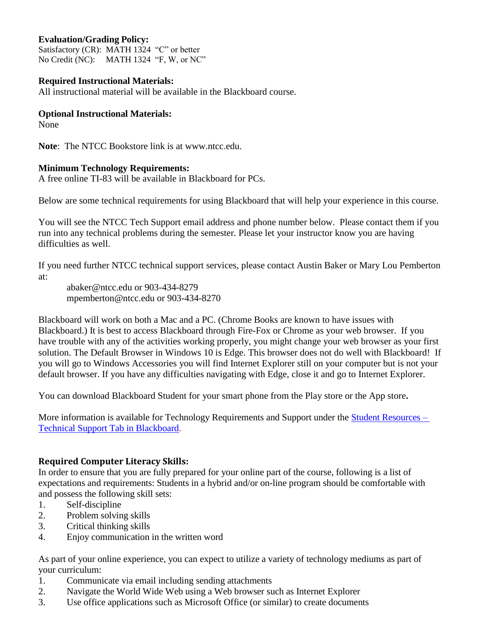## **Evaluation/Grading Policy:**

Satisfactory (CR): MATH 1324 "C" or better No Credit (NC): MATH 1324 "F, W, or NC"

### **Required Instructional Materials:**

All instructional material will be available in the Blackboard course.

## **Optional Instructional Materials:**

None

**Note**: The NTCC Bookstore link is at www.ntcc.edu.

## **Minimum Technology Requirements:**

A free online TI-83 will be available in Blackboard for PCs.

Below are some technical requirements for using Blackboard that will help your experience in this course.

You will see the NTCC Tech Support email address and phone number below. Please contact them if you run into any technical problems during the semester. Please let your instructor know you are having difficulties as well.

If you need further NTCC technical support services, please contact Austin Baker or Mary Lou Pemberton at:

abaker@ntcc.edu or 903-434-8279 mpemberton@ntcc.edu or 903-434-8270

Blackboard will work on both a Mac and a PC. (Chrome Books are known to have issues with Blackboard.) It is best to access Blackboard through Fire-Fox or Chrome as your web browser. If you have trouble with any of the activities working properly, you might change your web browser as your first solution. The Default Browser in Windows 10 is Edge. This browser does not do well with Blackboard! If you will go to Windows Accessories you will find Internet Explorer still on your computer but is not your default browser. If you have any difficulties navigating with Edge, close it and go to Internet Explorer.

You can download Blackboard Student for your smart phone from the Play store or the App store**.**

More information is available for Technology Requirements and Support under the **Student Resources** – [Technical Support Tab in Blackboard.](https://blackboard.ntcc.edu/webapps/portal/execute/tabs/tabAction?tabId=_14_1&tab_tab_group_id=_15_1)

## **Required Computer Literacy Skills:**

In order to ensure that you are fully prepared for your online part of the course, following is a list of expectations and requirements: Students in a hybrid and/or on-line program should be comfortable with and possess the following skill sets:

- 1. Self-discipline
- 2. Problem solving skills
- 3. Critical thinking skills
- 4. Enjoy communication in the written word

As part of your online experience, you can expect to utilize a variety of technology mediums as part of your curriculum:

- 1. Communicate via email including sending attachments
- 2. Navigate the World Wide Web using a Web browser such as Internet Explorer
- 3. Use office applications such as Microsoft Office (or similar) to create documents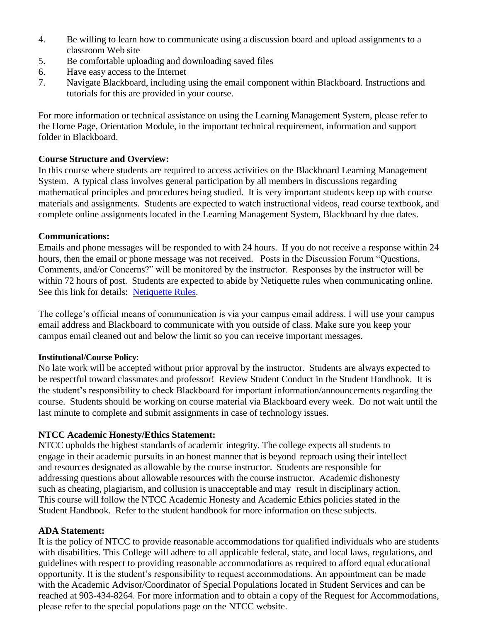- 4. Be willing to learn how to communicate using a discussion board and upload assignments to a classroom Web site
- 5. Be comfortable uploading and downloading saved files
- 6. Have easy access to the Internet
- 7. Navigate Blackboard, including using the email component within Blackboard. Instructions and tutorials for this are provided in your course.

For more information or technical assistance on using the Learning Management System, please refer to the Home Page, Orientation Module, in the important technical requirement, information and support folder in Blackboard.

## **Course Structure and Overview:**

In this course where students are required to access activities on the Blackboard Learning Management System. A typical class involves general participation by all members in discussions regarding mathematical principles and procedures being studied. It is very important students keep up with course materials and assignments. Students are expected to watch instructional videos, read course textbook, and complete online assignments located in the Learning Management System, Blackboard by due dates.

## **Communications:**

Emails and phone messages will be responded to with 24 hours. If you do not receive a response within 24 hours, then the email or phone message was not received. Posts in the Discussion Forum "Questions, Comments, and/or Concerns?" will be monitored by the instructor. Responses by the instructor will be within 72 hours of post. Students are expected to abide by Netiquette rules when communicating online. See this link for details: [Netiquette Rules.](http://www.albion.com/netiquette/corerules.html)

The college's official means of communication is via your campus email address. I will use your campus email address and Blackboard to communicate with you outside of class. Make sure you keep your campus email cleaned out and below the limit so you can receive important messages.

#### **Institutional/Course Policy**:

No late work will be accepted without prior approval by the instructor. Students are always expected to be respectful toward classmates and professor! Review Student Conduct in the Student Handbook. It is the student's responsibility to check Blackboard for important information/announcements regarding the course. Students should be working on course material via Blackboard every week. Do not wait until the last minute to complete and submit assignments in case of technology issues.

## **NTCC Academic Honesty/Ethics Statement:**

NTCC upholds the highest standards of academic integrity. The college expects all students to engage in their academic pursuits in an honest manner that is beyond reproach using their intellect and resources designated as allowable by the course instructor. Students are responsible for addressing questions about allowable resources with the course instructor. Academic dishonesty such as cheating, plagiarism, and collusion is unacceptable and may result in disciplinary action. This course will follow the NTCC Academic Honesty and Academic Ethics policies stated in the Student Handbook. Refer to the student handbook for more information on these subjects.

#### **ADA Statement:**

It is the policy of NTCC to provide reasonable accommodations for qualified individuals who are students with disabilities. This College will adhere to all applicable federal, state, and local laws, regulations, and guidelines with respect to providing reasonable accommodations as required to afford equal educational opportunity. It is the student's responsibility to request accommodations. An appointment can be made with the Academic Advisor/Coordinator of Special Populations located in Student Services and can be reached at 903-434-8264. For more information and to obtain a copy of the Request for Accommodations, please refer to the special populations page on the NTCC websit[e.](about:blank)